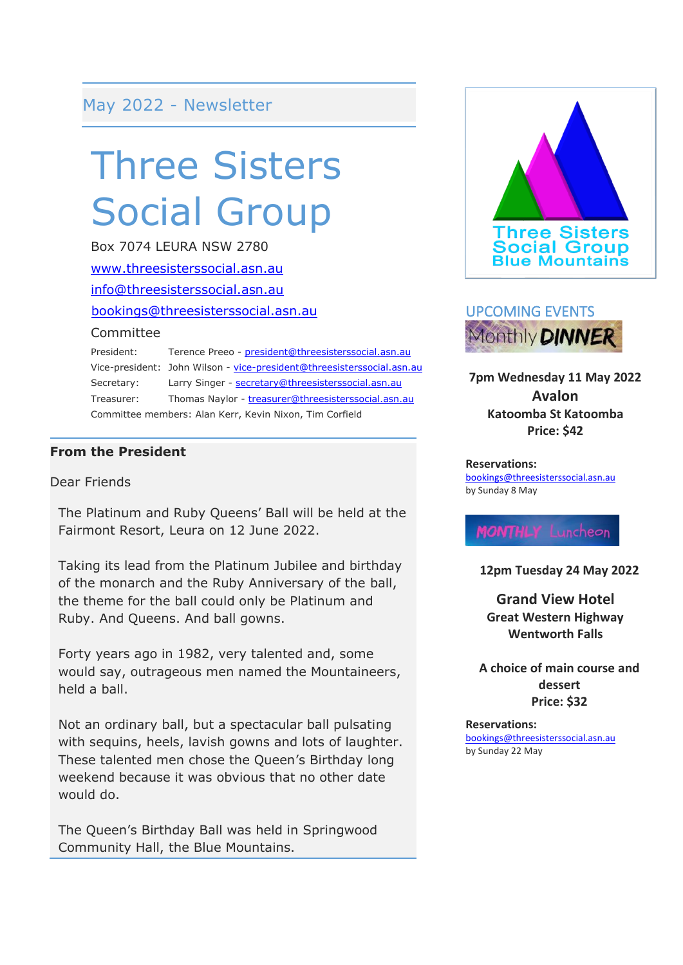### May 2022 - Newsletter

# Three Sisters Social Group

Box 7074 LEURA NSW 2780 [www.threesisterssocial.asn.au](http://www.threesisterssocial.asn.au/) [info@threesisterssocial.asn.au](mailto:info@threesisterssocial.asn.au) [bookings@threesisterssocial.asn.au](mailto:bookings@threesisterssocial.asn.au) **Committee** President: Terence Preeo - [president@threesisterssocial.asn.au](mailto:president@threesisterssocial.asn.au)

Vice-president: John Wilson - [vice-president@threesisterssocial.asn.au](mailto:vice-president@threesisterssocial.asn.au) Secretary: Larry Singer - [secretary@threesisterssocial.asn.au](mailto:secretary@threesisterssocial.asn.au) Treasurer: Thomas Naylor - [treasurer@threesisterssocial.asn.au](mailto:treasurer@threesisterssocial.asn.au) Committee members: Alan Kerr, Kevin Nixon, Tim Corfield

#### **From the President**

Dear Friends

The Platinum and Ruby Queens' Ball will be held at the Fairmont Resort, Leura on 12 June 2022.

Taking its lead from the Platinum Jubilee and birthday of the monarch and the Ruby Anniversary of the ball, the theme for the ball could only be Platinum and Ruby. And Queens. And ball gowns.

Forty years ago in 1982, very talented and, some would say, outrageous men named the Mountaineers, held a ball.

Not an ordinary ball, but a spectacular ball pulsating with sequins, heels, lavish gowns and lots of laughter. These talented men chose the Queen's Birthday long weekend because it was obvious that no other date would do.

The Queen's Birthday Ball was held in Springwood Community Hall, the Blue Mountains.





**7pm Wednesday 11 May 2022 Avalon Katoomba St Katoomba Price: \$42**

#### **Reservations:**

<bookings@threesisterssocial.asn.au> by Sunday 8 May

**MONTHLY** Luncheon

**12pm Tuesday 24 May 2022**

**Grand View Hotel Great Western Highway Wentworth Falls**

**A choice of main course and dessert Price: \$32**

**Reservations:** [bookings@threesisterssocial.asn.au](mailto:bookings@threesisterssocial.asn.au) by Sunday 22 May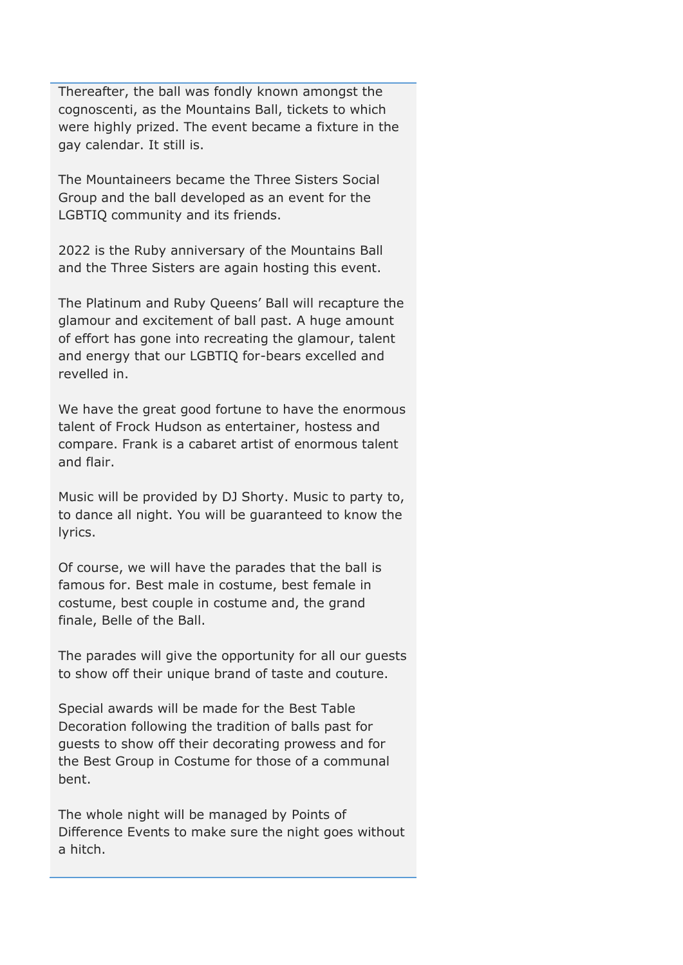Thereafter, the ball was fondly known amongst the cognoscenti, as the Mountains Ball, tickets to which were highly prized. The event became a fixture in the gay calendar. It still is.

The Mountaineers became the Three Sisters Social Group and the ball developed as an event for the LGBTIQ community and its friends.

2022 is the Ruby anniversary of the Mountains Ball and the Three Sisters are again hosting this event.

The Platinum and Ruby Queens' Ball will recapture the glamour and excitement of ball past. A huge amount of effort has gone into recreating the glamour, talent and energy that our LGBTIQ for-bears excelled and revelled in.

We have the great good fortune to have the enormous talent of Frock Hudson as entertainer, hostess and compare. Frank is a cabaret artist of enormous talent and flair.

Music will be provided by DJ Shorty. Music to party to, to dance all night. You will be guaranteed to know the lyrics.

Of course, we will have the parades that the ball is famous for. Best male in costume, best female in costume, best couple in costume and, the grand finale, Belle of the Ball.

The parades will give the opportunity for all our guests to show off their unique brand of taste and couture.

Special awards will be made for the Best Table Decoration following the tradition of balls past for guests to show off their decorating prowess and for the Best Group in Costume for those of a communal bent.

The whole night will be managed by Points of Difference Events to make sure the night goes without a hitch.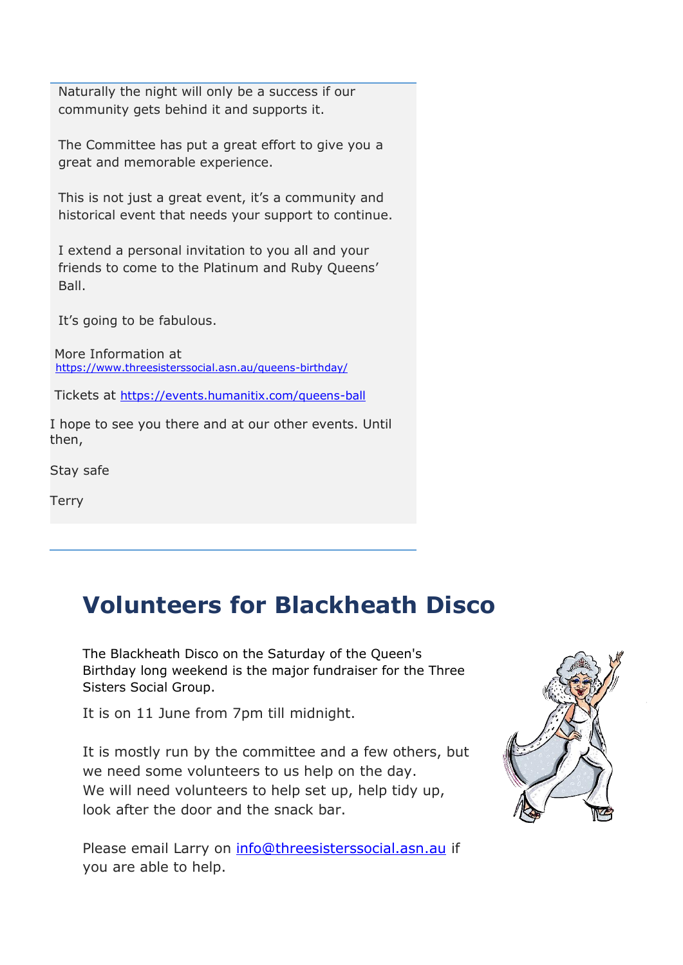Naturally the night will only be a success if our community gets behind it and supports it.

The Committee has put a great effort to give you a great and memorable experience.

This is not just a great event, it's a community and historical event that needs your support to continue.

I extend a personal invitation to you all and your friends to come to the Platinum and Ruby Queens' Ball.

It's going to be fabulous.

More Information at <https://www.threesisterssocial.asn.au/queens-birthday/>

Tickets at <https://events.humanitix.com/queens-ball>

I hope to see you there and at our other events. Until then,

Stay safe

**Terry** 

### **Volunteers for Blackheath Disco**

The Blackheath Disco on the Saturday of the Queen's Birthday long weekend is the major fundraiser for the Three Sisters Social Group.

It is on 11 June from 7pm till midnight.

It is mostly run by the committee and a few others, but we need some volunteers to us help on the day. We will need volunteers to help set up, help tidy up, look after the door and the snack bar.

Please email Larry on [info@threesisterssocial.asn.au](mailto:info@threesisterssocial.asn.au) if you are able to help.

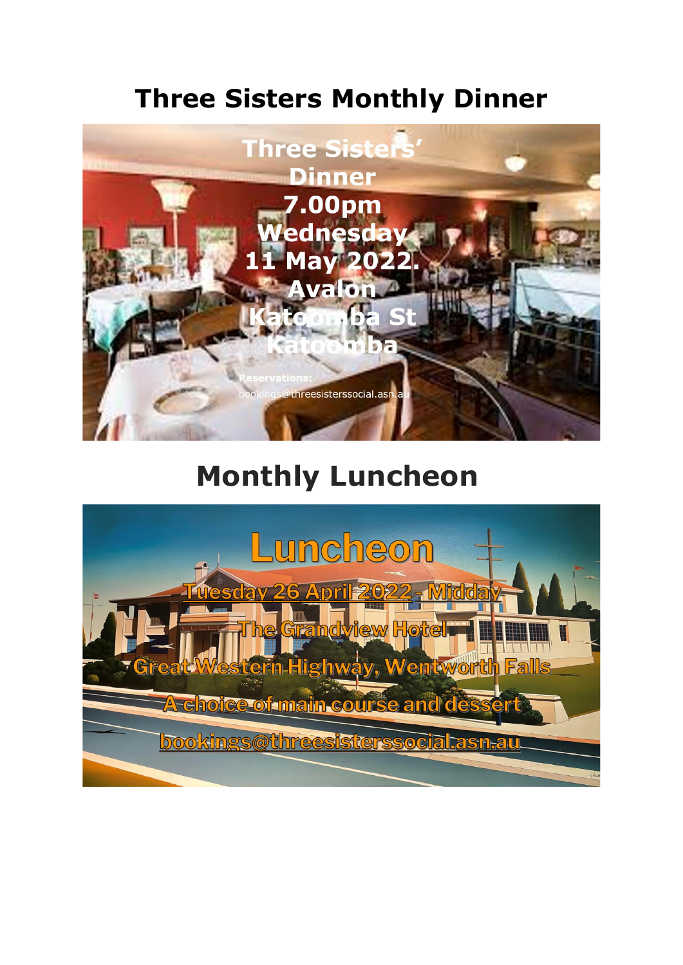## **Three Sisters Monthly Dinner**



## **Monthly Luncheon**

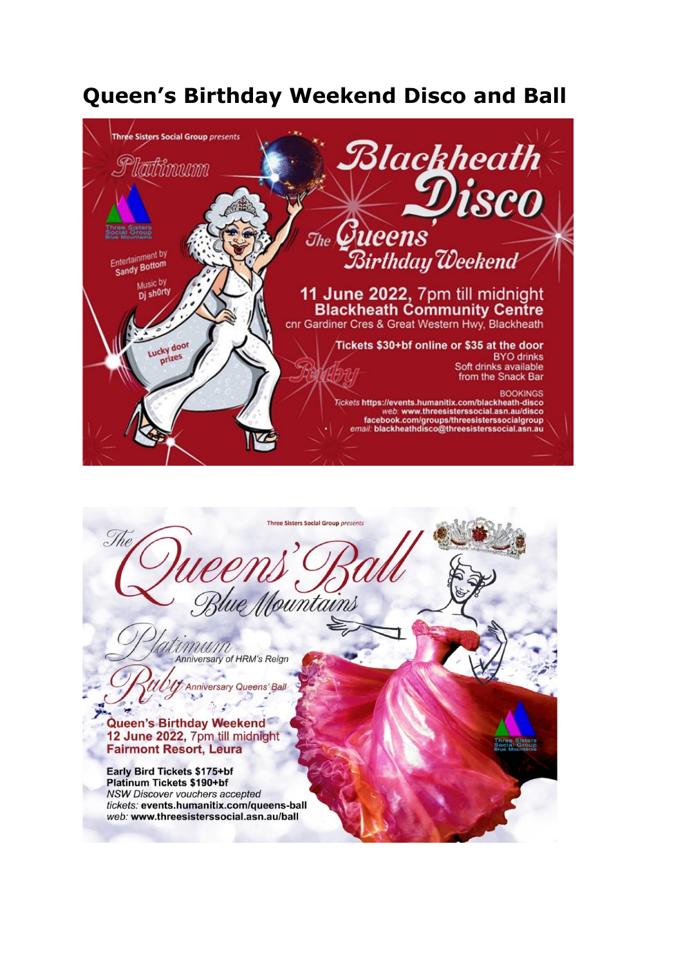### **Queen's Birthday Weekend Disco and Ball**





NSW Discover vouchers accepted tickets: events.humanitix.com/queens-ball web: www.threesisterssocial.asn.au/ball